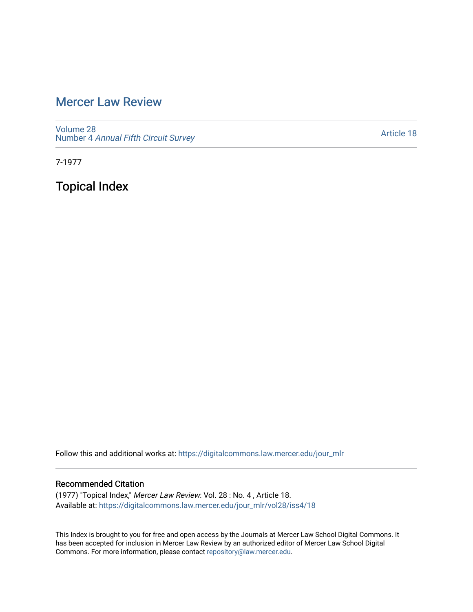## [Mercer Law Review](https://digitalcommons.law.mercer.edu/jour_mlr)

[Volume 28](https://digitalcommons.law.mercer.edu/jour_mlr/vol28) Number 4 [Annual Fifth Circuit Survey](https://digitalcommons.law.mercer.edu/jour_mlr/vol28/iss4)

[Article 18](https://digitalcommons.law.mercer.edu/jour_mlr/vol28/iss4/18) 

7-1977

Topical Index

Follow this and additional works at: [https://digitalcommons.law.mercer.edu/jour\\_mlr](https://digitalcommons.law.mercer.edu/jour_mlr?utm_source=digitalcommons.law.mercer.edu%2Fjour_mlr%2Fvol28%2Fiss4%2F18&utm_medium=PDF&utm_campaign=PDFCoverPages)

## Recommended Citation

(1977) "Topical Index," Mercer Law Review: Vol. 28 : No. 4 , Article 18. Available at: [https://digitalcommons.law.mercer.edu/jour\\_mlr/vol28/iss4/18](https://digitalcommons.law.mercer.edu/jour_mlr/vol28/iss4/18?utm_source=digitalcommons.law.mercer.edu%2Fjour_mlr%2Fvol28%2Fiss4%2F18&utm_medium=PDF&utm_campaign=PDFCoverPages) 

This Index is brought to you for free and open access by the Journals at Mercer Law School Digital Commons. It has been accepted for inclusion in Mercer Law Review by an authorized editor of Mercer Law School Digital Commons. For more information, please contact [repository@law.mercer.edu.](mailto:repository@law.mercer.edu)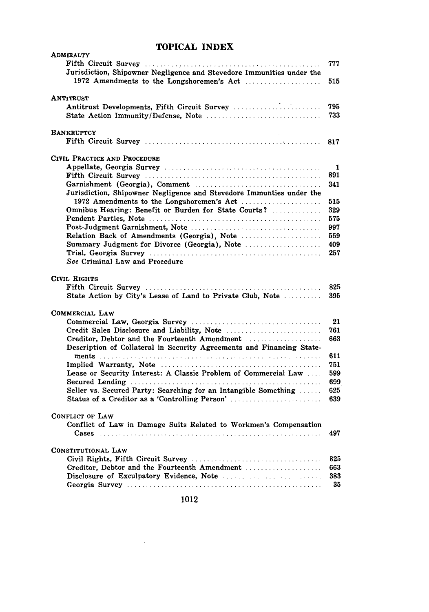## **TOPICAL INDEX**

| ADMIRALTY                                                                                                              | 777        |
|------------------------------------------------------------------------------------------------------------------------|------------|
| Jurisdiction, Shipowner Negligence and Stevedore Immunities under the<br>1972 Amendments to the Longshoremen's Act     | 515        |
| ANTITRUST                                                                                                              |            |
| Antitrust Developments, Fifth Circuit Survey<br>State Action Immunity/Defense, Note                                    | 795<br>733 |
|                                                                                                                        |            |
| <b>BANKRUPTCY</b>                                                                                                      |            |
|                                                                                                                        | 817        |
| CIVIL PRACTICE AND PROCEDURE                                                                                           |            |
|                                                                                                                        | 1          |
|                                                                                                                        | 891<br>341 |
| Jurisdiction, Shipowner Negligence and Stevedore Immunties under the                                                   |            |
| Omnibus Hearing: Benefit or Burden for State Courts?                                                                   | 515<br>329 |
|                                                                                                                        | 575        |
|                                                                                                                        | 997        |
| Relation Back of Amendments (Georgia), Note                                                                            | 559        |
| Summary Judgment for Divorce (Georgia), Note                                                                           | 409        |
| See Criminal Law and Procedure                                                                                         | 257        |
| <b>CIVIL RIGHTS</b>                                                                                                    |            |
|                                                                                                                        | 825        |
| State Action by City's Lease of Land to Private Club, Note                                                             | 395        |
| <b>COMMERCIAL LAW</b>                                                                                                  |            |
|                                                                                                                        | 21         |
|                                                                                                                        | 761<br>663 |
| Creditor, Debtor and the Fourteenth Amendment<br>Description of Collateral in Security Agreements and Financing State- |            |
|                                                                                                                        | 611        |
| Lease or Security Interest: A Classic Problem of Commercial Law                                                        | 751<br>599 |
|                                                                                                                        | 699        |
| Seller vs. Secured Party: Searching for an Intangible Something                                                        | 625        |
| Status of a Creditor as a 'Controlling Person'                                                                         | 639        |
| <b>CONFLICT OF LAW</b>                                                                                                 |            |
| Conflict of Law in Damage Suits Related to Workmen's Compensation                                                      |            |
|                                                                                                                        | 497        |
| CONSTITUTIONAL LAW                                                                                                     |            |
|                                                                                                                        | 825        |
| Creditor, Debtor and the Fourteenth Amendment                                                                          | 663<br>383 |
|                                                                                                                        | 35         |

 $\mathcal{L}^{\text{max}}_{\text{max}}$ 

 $\sim$   $\sim$